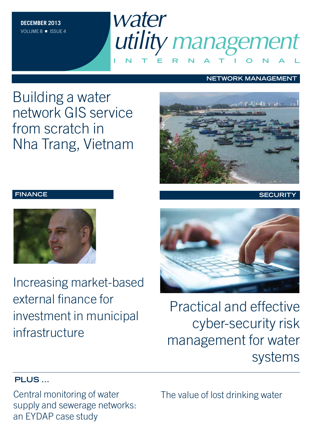

### **NETWORK MANAGEMENT**

Building a water network GIS service from scratch in Nha Trang, Vietnam



Increasing market-based external finance for investment in municipal infrastructure



**FINANCE SECURITY**



Practical and effective cyber-security risk management for water systems

### **PLUS ...**

Central monitoring of water supply and sewerage networks: an EYDAP case study

The value of lost drinking water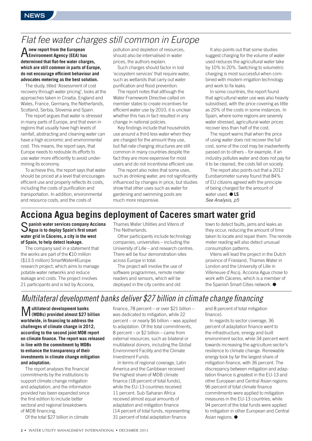## Flat fee water charges still common in Europe

A**new report from the European Environment Agency (EEA) has determined that flat-fee water charges, which are still common in parts of Europe, do not encourage efficient behaviour and advocates metering as the best solution.**

The study, titled 'Assessment of cost recovery through water pricing', looks at the approaches taken in Croatia, England and Wales, France, Germany, the Netherlands, Scotland, Serbia, Slovenia and Spain.

The report argues that water is stressed in many parts of Europe, and that even in regions that usually have high levels of rainfall, abstracting and cleaning water can have a high economic and environmental cost. This means, the report says, that Europe needs to redouble its efforts to use water more efficiently to avoid undermining its economy.

To achieve this, the report says that water should be priced at a level that encourages efficient use and properly reflects its costs, including the costs of purification and transportation. In addition, environmental and resource costs, and the costs of

pollution and depletion of resources, should also be internalised in water prices, the authors explain.

Such charges should factor in lost 'ecosystem services' that require water, such as wetlands that carry out water purification and flood prevention.

The report notes that although the Water Framework Directive called on member states to create incentives for efficient water use by 2010, it is unclear whether this has in fact resulted in any change in national policies.

Key findings include that households use around a third less water when they are charged for the amount they use, but flat-rate charging structures are still common in many countries despite the fact they are more expensive for most users and do not incentivise efficient use.

The report also notes that some uses, such as drinking water, are not significantly influenced by changes in price, but studies show that other uses such as water for gardening and swimming pools are much more responsive.

It also points out that some studies suggest charging for the volume of water used reduces the agricultural water take by 10% to 20%. Switching to volumetric charging is most successful when combined with modern irrigation technology and work to fix leaks.

In some countries, the report found that agricultural water use was also heavily subsidised, with the price covering as little as 20% of the costs in some instances. In Spain, where some regions are severely water stressed, agricultural water prices recover less than half of the cost.

The report warns that when the price of using water does not recover the full cost, some of the cost may be inadvertently passed on to others – for example, if an industry pollutes water and does not pay for it to be cleaned, the costs fall on society.

The report also points out that a 2012 Eurobarometer survey found that 84% of EU citizens agreed with the principle of being charged for the amount of water used. ● **LS** See Analysis, p5

## **Acciona Agua begins deployment of Caceres smart water grid**

S**panish water services company Acciona Agua is to deploy Spain's first smart water grid in Cáceres, a city in the west of Spain, to help detect leakage.**

The company said in a statement that the works are part of the €10 million (\$13.5 million) SmartWater4Europe research project, which aims to manage potable water networks and reduce leakage and costs. The project involves 21 participants and is led by Acciona,

Thames Water Utilities and Vitens of The Netherlands.

Other participants include technology companies, universities – including the University of Lille – and research centres. There will be four demonstration sites across Europe in total.

The project will involve the use of software programmes, remote meter readers and sensors, which will be deployed in the city centre and old

town to detect faults, jams and leaks as they occur, reducing the amount of time taken to locate and repair them. The remote meter reading will also detect unusual consumption patterns.

Vitens will lead the project in the Dutch province of Friesland, Thames Water in London and the University of Lille in Villeneuve d'Ascq. Acciona Agua chose to work with Cáceres, which is a member of the Spanish Smart Cities network. ●

## Multilateral development banks deliver \$27 billion in climate change financing

M**ultilateral development banks (MDBs) provided almost \$27 billion worldwide, in financing to address the challenges of climate change in 2012, according to the second joint MDB report on climate finance. The report was released in line with the commitment by MDBs to enhance the transparency of their investments in climate change mitigation and adaptation.**

The report analyses the financial commitments by the institutions to support climate change mitigation and adaptation, and the information provided has been expanded since the first edition to include better sectoral and regional breakdowns of MDB financing.

Of the total \$27 billion in climate

finance, 78 percent – or over \$21 billion – was dedicated to mitigation, while 22 percent – or nearly \$6 billion – was applied to adaptation. Of the total commitments, 8 percent – or \$2 billion – came from external resources, such as bilateral or multilateral donors, including the Global Environment Facility and the Climate Investment Funds.

In terms of regional coverage, Latin America and the Caribbean received the highest share of MDB climate finance (18 percent of total funds), while the EU-13 countries received 11 percent. Sub-Saharan Africa received almost equal amounts of adaptation and mitigation finance (14 percent of total funds, representing 31 percent of total adaptation finance

and 8 percent of total mitigation finance).

In regards to sector coverage, 36 percent of adaptation finance went to the infrastructure, energy and built environment sector, while 34 percent went towards increasing the agriculture sector's resilience to climate change. Renewable energy took by far the largest share of mitigation finance, with 36 percent. The discrepancy between mitigation and adaptation finance is greatest in the EU-13 and other European and Central Asian regions: 96 percent of total climate finance commitments were applied to mitigation measures in the EU-13 countries; while 94 percent of the total funds were applied to mitigation in other European and Central Asian regions. ●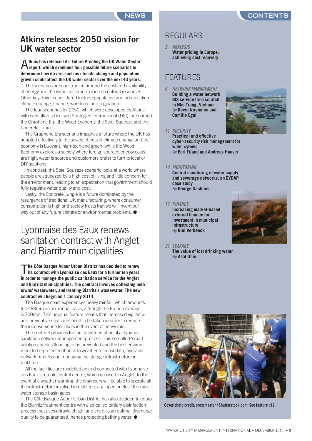## **Atkins releases 2050 vision for UK water sector**

### A**tkins has released its 'Future Proofing the UK Water Sector' report, which examines four possible future scenarios to determine how drivers such as climate change and population growth could affect the UK water sector over the next 40 years.**

The scenarios are constructed around the cost and availability of energy and the value customers place on natural resources. Other key drivers considered include population and urbanisation, climate change, finance, workforce and regulation.

The four scenarios for 2050, which were developed by Atkins with consultants Decision Strategies International (DSI), are named the Graphene Era, the Wood Economy, the Steel Squeeze and the Concrete Jungle.

The Graphene Era scenario imagines a future where the UK has adapted effectively to the severe effects of climate change and the economy is buoyant, high-tech and green, while the Wood Economy explores a society where foreign sourced energy costs are high, water is scarce and customers prefer to turn to local or DIY solutions.

In contrast, the Steel Squeeze scenario looks at a world where people are squeezed by a high cost of living and little concern for the environment, leading to an expectation that government should fully regulate water quality and cost.

Lastly, the Concrete Jungle is a future dominated by the resurgence of traditional UK manufacturing, where consumer consumption is high and society trusts that we will invent our way out of any future climate or environmental problems.  $\bullet$ 

## Lyonnaise des Eaux renews sanitation contract with Anglet and Biarritz municipalities

T**he Côte Basque Adour Urban District has decided to renew its contract with Lyonnaise des Eaux for a further ten years, in order to manage the public sanitation service for the Anglet and Biarritz municipalities. The contract involves collecting both towns' wastewater, and treating Biarritz's wastewater. The new contract will begin on 1 January 2014.**

The Basque coast experiences heavy rainfall, which amounts to 1483mm on an annual basis, although the French average is 700mm. This unusual feature means that increased vigilance and preventive measures need to be taken in order to reduce the inconvenience for users in the event of heavy rain.

The contract provides for the implementation of a dynamic sanitation network management process. This so-called 'smart' solution enables flooding to be prevented and the host environment to be protected thanks to weather forecast data, hydraulic network models and managing the storage infrastructure in real time.

All the facilities are modelled on and connected with Lyonnaise des Eaux's remote control centre, which is based in Anglet. In the event of a weather warning, the engineers will be able to operate all the infrastructure involved in real time, e.g. open or close the rain water storage basin gates.

The Côte Basque Adour Urban District has also decided to equip the Biarritz treatment centre with a so-called tertiary disinfection process that uses ultraviolet light and enables an optimal discharge quality to be guaranteed, hence protecting bathing water. ●

## REGULARS

**5 ANALYSIS Water pricing in Europe: achieving cost recovery**

## **FFATURES**

**6 NETWORK MANAGEMENT Building a water network GIS service from scratch in Nha Trang, Vietnam** By **Kevin Nirsimloo and Camille Egal**



#### **11 SECURITY**

**Practical and effective cyber-security risk management for water sytems** By **Earl Eiland and Andreas Hauser**

#### **14 MONITORING**

**Central monitoring of water supply and sewerage networks: an EYDAP case study** By **George Sachinis**

#### **17 FINANCE**

**Increasing market-based external finance for investment in municipal infrastructure** By **Giel Verbeeck**



**21 LEAKAGE The value of lost drinking water**

## By **Asaf Unie**



**Cover photo credit: pressmaster / Shutterstock.com. See feature p12.**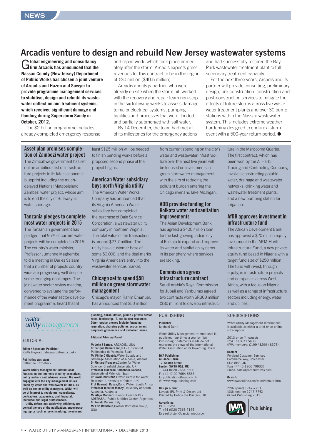## **Arcadis venture to design and rebuild New Jersey wastewater systems**

G**lobal engineering and consultancy firm Arcadis has announced that the Nassau County (New Jersey) Department of Public Works has chosen a joint venture of Arcadis and Hazen and Sawyer to provide programme management services to stabilise, design and rebuild its wastewater collection and treatment systems, which received significant damage and flooding during Superstorm Sandy in October, 2012.**

The \$2 billion programme includes already-completed emergency response

and repair work, which took place immediately after the storm. Arcadis expects gross revenues for this contract to be in the region of  $\in$ 30 million (\$40.5 million).

Arcadis and its jv partner, who were already on site when the storm hit, worked with the recovery and repair team non-stop in the six following weeks to assess damage to major electrical systems, pumping facilities and processes that were flooded and partially submerged with salt water.

By 14 December, the team had met all of its milestones for the emergency actions and had successfully restored the Bay Park wastewater treatment plant to full secondary treatment capacity.

For the next three years, Arcadis and its partner will provide consulting, preliminary design, pre-construction, construction and post-construction services to mitigate the effects of future storms across five wastewater treatment plants and over 30 pump stations within the Nassau wastewater system. This includes extreme weather hardening designed to endure a storm event with a 500-year return period. ●

#### **Asset plan promises completion of Zambezi water project**

The Zimbabwe government has set out an ambitious list of infrastructure projects in its latest economic blueprint including the muchdelayed National Matabeleland Zambezi water project, whose aim is to end the city of Bulawayo's water shortage.

#### **Tanzania pledges to complete most water projects in 2015**

The Tanzanian government has pledged that 95% of current water projects will be completed in 2015. The country's water minister, Professor Jumanne Maghembe, told a meeting in Dar es Salaam that a number of projects countrywide are progressing well despite some emerging challenges. The joint water sector review meeting, convened to evaluate the performance of the water sector development programme, heard that at

least \$125 million will be needed to finish pending works before a proposed second phase of the project begins.

#### **American Water subsidiary buys north Virginia utility**

The American Water Works Company has announced that its Virginia American Water subsidiary has completed the purchase of Dale Service Corporation, a wastewater utility company in northern Virginia. The total value of the transaction is around \$27.7 million. The utility has a customer base of some 50,000, and the deal marks Virginia American's entry into the wastewater services market.

#### **Chicago set to spend \$50 million on green stormwater management**

Chicago's mayor, Rahm Emanuel, has announced that \$50 million

water utility management **INTERNATIONAL**

#### EDITORIAL

**Editor / Associate Publisher** Keith Hayward (khayward@iwap.co.uk)

**Publishing Assistant** Catherine Fitzpatrick

**Water Utility Management International focuses on the interests of utility executives, policy makers and advisors around the world engaged with the key management issues faced by water and wastewater utilities. As well as senior utility managers, WUMI will be of interest to regulators, consultants, contractors, academics, and financial, technical and legal professionals. Utility reform and achieving efficiency are**

**central themes of the publication, encompassing topics such as benchmarking, investment**

**planning, consolidation, public / private sector roles, leadership, IT, and human resources. Other regular themes include financing, regulation, charging policies, procurement, corporate governance and customer issues.**

#### **Editorial Advisory Panel**

**Mr John J Batten**, ARCADIS, USA **Dr Enrique Cabrera Jnr**,ITA - Universitat Politecnica de Valencia, Spain **Mr Philip D Giantris**,Water Supply and Sewerage Association of Albania, Albania **Dr Richard Franceys**,Centre for Water Science, Cranfield University, UK **Professor Francesc Hernandez-Sancho**, University of Valencia, Spain **Dr David Johnstone, Oxford Centre for Water** Research, University of Oxford, UK **Prof Hamanth Kasan**,Rand Water, South Africa **Professor Jennifer McKay**,University of South Australia, Australia **Mr Alejo Molinari**,Buenos Aires ERAS / ADERASA / Public Utilities Center, Argentina **Dr Renato Parena, Italy Mr Eric Rothstein**,Galardi Rothstein Group,  $||S||$ 

from current spending on the city's water and wastewater infrastructure over the next five years will be focused on investments in green stormwater management, with the aim of reducing the pollutant burden entering the Chicago river and lake Michigan.

#### **ADB provides funding for Kolkata water and sanitation improvements**

The Asian Development Bank has agreed a \$400 million loan for the fast-growing Indian city of Kolkata to expand and improve its water and sanitation systems in its periphery, where services are lacking.

#### **Commission agrees infrastructure contract**

Saudi Arabia's Royal Commission for Jubail and Yanbu has agreed two contracts worth SR300 million (\$80 million) to develop infrastruc-

### PURLISHING

#### **Publisher** Michael Dunn

Water Utility Management International is published four times a year by IWA Publishing. Statements made do not represent the views of the International Water Association or its Governing Board.

#### **IWA Publishing**

**Alliance House, 12, Caxton Street, London SW1H 0QS, UK** T: +44 (0)20 7654 5500 F: +44 (0)20 7654 5555 E: publications@iwap.co.uk W: www.iwapublishing.com

### **Design & print**

Layout: IPL Print & Design Ltd Printed by Hobbs the Printers, UK

#### **Advertising** Paul Tilston

+44 (0)20 7368 7145 E: paul.tilston@caspianmedia.com ture in the Mardooma Quarter. The first contract, which has been won by the Al Harbi Trading and Contracting Company, involves constructing potable water, drainage and wastewater networks, drinking water and wastewater treatment plants, and a new pumping station for irrigation.

#### **AfDB approves investment in infrastructure fund**

The African Development Bank has approved a \$20 million equity investment in the ARM-Harith Infrastructure Fund, a new private equity fund based in Nigeria with a target fund size of \$250 million. The fund will invest, through equity, in infrastructure projects and companies across West Africa, with a focus on Nigeria, as well as a range of infrastructure sectors including energy, water and utilities.

#### **SUBSCRIPTIONS**

Water Utility Management International is available as either a print or an online subscription.

2013 price (4 issues): £241 / €363 / \$480 (IWA members: £199 / €299 / \$378)

#### **Contact**

Portland Customer Services Commerce Way, Colchester CO2 8HP, UK Fax: +44 (0)1206 799331 Email: sales@portlandpress.com

#### **Or visit:**

www.iwaponline.com/wumi/default.htm ISSN (print) 1747-7751

ISSN (online) 1747-776X © IWA Publishing 2013

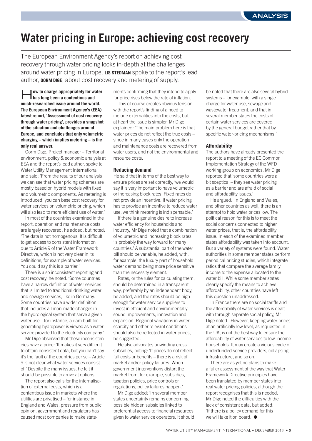## **Water pricing in Europe: achieving cost recovery**

The European Environment Agency's report on achieving cost recovery through water pricing looks in-depth at the challenges around water pricing in Europe. **LIS STEDMAN** spoke to the report's lead author, **GORM DIGE**, about cost recovery and metering of supply.

**ow to charge appropriately for water has long been a contentious and much-researched issue around the world. The European Environment Agency's (EEA) latest report, 'Assessment of cost recovery through water pricing', provides a snapshot of the situation and challenges around Europe, and concludes that only volumetric charging – which implies metering – is the only real answer.**

Gorm Dige, Project manager – Territorial environment, policy & economic analysis at EEA and the report's lead author, spoke to Water Utility Management International and said: 'From the results of our analysis we can see that water pricing schemes are mostly based on hybrid models with fixed and volumetric components. As metering is introduced, you can base cost recovery for water services on volumetric pricing, which will also lead to more efficient use of water.'

In most of the countries examined in the report, operation and maintenance costs are largely recovered, he added, but noted: 'The data is not homogenous. It is difficult to get access to consistent information due to Article 9 of the Water Framework Directive, which is not very clear in its definitions, for example of water services. You could say this is a barrier.'

There is also inconsistent reporting and cost recovery, he noted. 'Some countries have a narrow definition of water services that is limited to traditional drinking water and sewage services, like in Germany. Some countries have a wider definition that includes all man-made changes in the hydrological system that serve a given water use – for instance, a dam built for generating hydropower is viewed as a water service provided to the electricity company.'

Mr Dige observed that these inconsistencies have a price: 'It makes it very difficult to obtain consistent data, but you can't say it's the fault of the countries per se – Article 9 is not clear what water services consist of.' Despite the many issues, he felt it should be possible to arrive at options.

The report also calls for the internalisation of external costs, which is a contentious issue in markets where the utilities are privatised – for instance in England and Wales, pressure from public opinion, government and regulators has caused most companies to make statements confirming that they intend to apply for price rises below the rate of inflation.

This of course creates obvious tension with the report's finding of a need to include externalities into the costs, but at heart the issue is simpler, Mr Dige explained: 'The main problem here is that water prices do not reflect the true costs – since in many cases only the operation and maintenance costs are recovered from water users, and not the environmental and resource costs.

#### **Reducing demand**

He said that in terms of the best way to ensure prices are set correctly, 'we would say it is very important to have volumetric or increasing block rates. Fixed rates do not provide an incentive. If water pricing has to provide an incentive to reduce water use, we think metering is indispensable.'

If there is a genuine desire to increase water efficiency for households and industry, Mr Dige noted that a combination of volumetric and increasing block rates 'is probably the way forward for many countries.' A substantial part of the water bill should be variable, he added, with, for example, the luxury part of household water demand being more price sensitive than the necessity element.

Rates, or the rules for calculating them, should be determined in a transparent way, preferably by an independent body, he added, and the rates should be high enough for water service suppliers to invest in efficient and environmentallysound improvements, innovation and expansion. Regional variations in water scarcity and other relevant conditions should also be reflected in water prices, he suggested.

He also advocates unwinding cross subsidies, noting: 'If prices do not reflect full costs or benefits – there is a risk of market and/or policy failures. When government interventions distort the market from, for example, subsidies, taxation policies, price controls or regulations, policy failures happen.'

Mr Dige added: 'In several member states uncertainty remains concerning possible hidden subsidies linked to preferential access to financial resources given to water service operators. It should

be noted that there are also several hybrid systems – for example, with a single charge for water use, sewage and wastewater treatment, and that in several member states the costs of certain water services are covered by the general budget rather that by specific water-pricing mechanisms.'

#### **Affordability**

The authors have already presented the report to a meeting of the EC Common Implementation Strategy of the WFD working group on economics. Mr Dige reported that 'some countries were a bit sceptical – they see water pricing as a barrier and are afraid of social and affordability issues.'

He argued: 'In England and Wales, and other countries as well, there is an attempt to hold water prices low. The political reason for this is to meet the social concerns connected to higher water prices, that is, the affordability issue. In each of the examined member states affordability was taken into account. But a variety of systems were found. Water authorities in some member states perform periodical pricing studies, which integrate ratios that compare the average family income to the expense allocated to the water bill. While some member states clearly specify the means to achieve affordability, other countries have left this question unaddressed.'

In France there are no social tariffs and the affordability of water services is dealt with through separate social policy, Mr Dige noted. 'However, keeping water prices at an artificially low level, as requested in the UK, is not the best way to ensure the affordability of water services to low-income households. It may create a vicious cycle of underfunded service providers, collapsing infrastructure, and so on.

There are as yet no plans to make a fuller assessment of the way that Water Framework Directive principles have been translated by member states into real water pricing policies, although the report recognises that this is needed. Mr Dige noted the difficulties with the lack of consistent data, but added: 'If there is a policy demand for this we will take it on board.' ●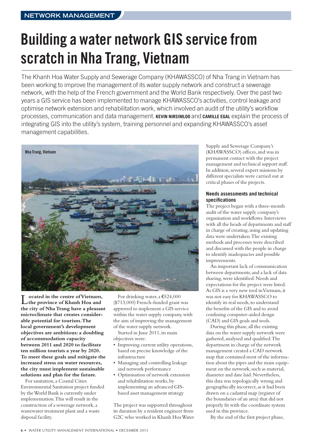# **Building a water network GIS service from scratch in Nha Trang, Vietnam**

The Khanh Hoa Water Supply and Sewerage Company (KHAWASSCO) of Nha Trang in Vietnam has been working to improve the management of its water supply network and construct a sewerage network, with the help of the French government and the World Bank respectively. Over the past two years a GIS service has been implemented to manage KHAWASSCO's activities, control leakage and optimise network extension and rehabilitation work, which involved an audit of the utility's workflow processes, communication and data management. **KEVIN NIRSIMLOO** and **CAMILLE EGAL** explain the process of integrating GIS into the utility's system, training personnel and expanding KHAWASSCO's asset management capabilities.



L**ocated in the centre ofVietnam, the province of Khanh Hoa and the city of Nha Trang have a pleasant microclimate that creates considerable potential for tourism.The local government's development objectives are ambitious: a doubling of accommodation capacity between 2011 and 2020 to facilitate ten million tourists a year by 2020. To meet these goals and mitigate the increased stress on water resources, the city must implement sustainable solutions and plan for the future.**

For sanitation, a Coastal Cities Environmental Sanitation project funded by theWorld Bank is currently under implementation.This will result in the construction of a sewerage network, a wastewater treatment plant and a waste disposal facility.

For drinking water, a €524,000 (\$713,000) French-funded grant was approved to implement a GIS service within the water supply company, with the aim of improving the management of the water supply network.

Started in June 2011, its main objectives were:

- Improving current utility operations, based on precise knowledge of the infrastructure
- Managing and controlling leakage and network performance
- Optimisation of network extension and rehabilitation works, by implementing an advanced GISbased asset management strategy

The project was supported throughout its duration by a resident engineer from G2C who worked in Khanh HoaWater Supply and Sewerage Company's (KHAWASSCO) offices, and was in permanent contact with the project management and technical support staff. In addition, several expert missions by different specialists were carried out at critical phases of the projects.

#### **Needs assessments and technical specifications**

The project began with a three-month audit of the water supply company's organisation and workflows. Interviews with all the heads of departments and staff in charge of creating, using and updating data were undertaken.The existing methods and processes were described and discussed with the people in charge to identify inadequacies and possible improvements.

An important lack of communication between departments, and a lack of data sharing,were identified.Needs and expectations for the project were listed. As GIS is a very new tool inVietnam,it was not easy for KHAWASSCO to identify its real needs, to understand the benefits of the GIS and to avoid confusing computer-aided design (CAD) and GIS goals and tools.

During this phase, all the existing data on the water supply network were gathered, analysed and qualified.The department in charge of the network management created a CAD network map that contained most of the information about the pipes and the main equipment on the network, such as material, diameter and date laid.Nevertheless, this data was topologically wrong and geographically incorrect, as it had been drawn on a cadastral map (register of the boundaries of an area) that did not properly fit with the coordinate system used in this province.

By the end of the first project phase,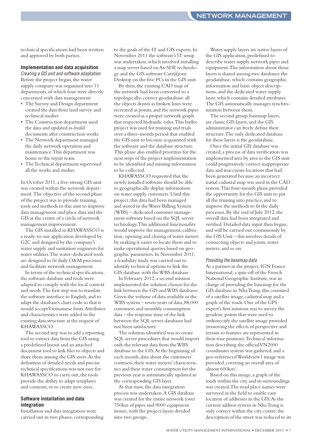technical specifications had been written and approved by both parties.

#### **Implementation and data acquisition**

Creating a GIS unit and software adaptation Before the project began, the water supply company was organised into 11 departments, of which four were directly concerned with data management:

- The Survey and Design department created the data from land survey and technical studies
- The Construction department used the data and updated as-build documents after construction works
- The Network department managed the daily network operation and maintenance.This department was home to the repair team.
- The Technical department supervised all the works and studies

In October 2011, a five-strong GIS unit was created within the network department.The objective of the second phase of the project was to provide training, tools and methods to this unit to improve data management and place data and the GIS at the centre of a circle of network management improvement.

The GIS installed in KHAWASSCO is a ready-to-use application developed by G2C and designed by the company's water supply and sanitation engineers for water utilities.The water-dedicated tools are designed to fit daily O&M processes and facilitate network management.

In terms of the technical specifications, the software database and tools were adapted to comply with the local context and needs.The first step was to translate the software interface to English, and to adapt the database's chart code so that it would acceptVietnamese fonts.Attributes and characteristics were added to the existing data structure at the request of KHAWASSCO.

The second step was to add a reporting tool to extract data from the GIS using a predefined layout and an attached document tool to link files to objects and share them among the GIS users.As the definition of detailed needs and precise technical specifications was not easy for KHAWASSCO to carry out, the tools provide the ability to adapt templates and contents, or to create new ones.

#### **Software installation and data integration**

Installation and data integration were carried out in two phases, corresponding to the goals of the IT and GIS experts. In November 2011 the software's IT setup was undertaken,which involved installing a map server based on ArcSDE technology and the GIS software Cart@jour Desktop on the five PCs in the GIS unit.

By then, the existing CAD map of the network had been converted to a topologically-correct geodatabase: all the objects drawn as broken lines were recreated as points, and the network pipes were created as a proper network graph that respected hydraulic rules.This buffer project was used for training and trials over a three-month period that enabled the GIS unit to become acquainted with the software and the database structure. This phase also enabled priorities for the next steps of the project implementation to be identified and missing information to be collected.

KHAWASSCO requested that the newly installed software should be able to geographically display information on water supply customers.Until this project, this data had been managed and stored in theWater Billing System (WBS) – dedicated customer management software based on the SQL server technology.This additional functionality would improve the management, calibration, opening and closing of water meters by making it easier to locate them and to make operational queries based on geographic parameters. In November 2011, a feasibility study was carried out to identify technical options to link the GIS database with theWBS database.

In February 2012, a second mission implemented the solution chosen for the link between the GIS andWBS databases. Given the volume of data available in the WBS system – seven years of data,88,000 customers and monthly consumption data – the response time of the link between the SQL server databases had not been satisfactory.

The solution identified was to create SQL server procedures that would import only the relevant data from theWBS database to the GIS.At the beginning of each month, data about the customers' contracts, their water meters' characteristics and their water consumption for the previous year is automatically updated in the corresponding GIS layer.

At that time, the data integration process was undertaken.A GIS database was created for the entire network (over 750km of pipes and 9000 equipment items),with the project layers divided into two groups.

Water supply layers are native layers of the GIS application, predefined to describe water supply network pipes and equipment.The information about those layers is shared among two databases: the geodatabase,which contains geographic information and basic object descriptions, and the dedicated water supply layer,which contains detailed attributes. The GIS automatically manages synchronisation between them.

The second group, basemap layers, are classic GIS layers, and the GIS administrator can freely define their structure.The only dedicated database for these layers is the geodatabase.

Once the initial GIS database was created, a process of data verification was implemented area by area so the GIS unit could progressively correct inappropriate data and inaccurate locations that had been generated because an incorrect initial cadastral map was used in the CAD system.This four-month phase provided the opportunity for the GIS unit to put all the training into practice, and to improve the methods to fit the daily processes. By the end of July 2012, the overall data had been integrated and verified.Detailed data input then began, and will be carried out continuously by the GIS Unit – this involves details of connecting objects and joints,water meters, and so on.

#### Providing the basemap data

As a partner in the project, IGN France International, a spin-off of the French National Geographic Institute,was in charge of providing the basemap for the GIS database in Nha Trang: this consisted of a satellite image, cadastral map and a graph of the roads.One of the GPS expert's first missions was to survey the geodesic points that were used to orthorectify the satellite image provided (removing the effects of perspective and terrain so features are represented in their true position).Technical information describing the officialVN2000 coordinates system was gathered, and a geo-referencedWorldview1 image was provided, covering an overall area of almost 600km2 .

Based on this image, a graph of the roads within the city and its surroundings was created.The road place names were surveyed in the field to enable easy location of addresses in the GIS.As the current address system in NhaTrang is only correct within the city centre, the description of the street was reduced to its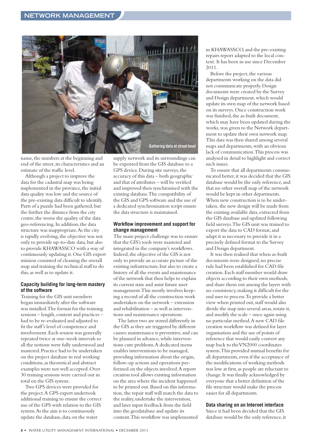

name,the numbers at the beginning and end of the street, its characteristics and an estimate of the traffic level.

Although a project to improve the data for the cadastral map was being implemented in the province, the initial data quality was low and the source of the pre-existing data difficult to identify. Parts of a puzzle had been gathered, but the further the distance from the city centre, the worse the quality of the data geo-referencing. In addition,the data structure was inappropriate.As the city is rapidly evolving, the objective was not only to provide up-to-date data, but also to provide KHAWASSCO with a way of continuously updating it.One GIS expert mission consisted of cleaning the overall map and training the technical staff to do this, as well as to update it.

#### **Capacity building for long-term mastery of the software**

Training for the GIS unit members began immediately after the software was installed.The format for the training sessions – length, content and practices – had to be re-evaluated and adjusted to fit the staff's level of competence and involvement. Each session was generally repeated twice at one-week intervals so all the notions were fully understood and mastered. Practice had to be undertaken on the project database in real working conditions, as theoretical and abstract examples were not well accepted.Over 30 training sessions were carried out in total on the GIS system.

Two GPS devices were provided for the project.A GPS expert undertook additional training to ensure the correct use of the GPS with relation to the GIS system.As the aim is to continuously update the database, data on the water

supply network and its surroundings can be exported from the GIS database to a GPS device.During site surveys,the accuracy of this data – both geographic and that of attributes – will be verified and improved then synchronised with the existing database.The compatibility of the GIS and GPS software and the use of a dedicated synchronisation script ensure the data structure is maintained.

#### **Workflow improvement and support for change management**

The main project challenge was to ensure that the GIS's tools were mastered and integrated in the company's workflows. Indeed, the objective of the GIS is not only to provide an accurate picture of the existing infrastructure, but also to create a history of all the events and maintenance of the network that then helps to explain its current state and assist future asset management.This mostly involves keeping a record of all the construction work undertaken on the network – extension and rehabilitation – as well as interventions and maintenance operations.

The latter two are stored differently in the GIS as they are triggered by different causes:maintenance is preventive, and can be planned in advance,while interventions cure problems.A dedicated menu enables interventions to be managed, providing information about the origin, follow-up actions and operations performed on the objects involved.A report creation tool allows existing information on the area where the incident happened to be printed out.Based on this information, the repair staff will match the data to the reality, undertake the intervention, and later input feedback from the field into the geodatabase and update its content.This workflow was implemented in KHAWASSCO, and the pre-existing repairs report adapted to the local context. It has been in use since December 2011.

Before the project, the various departments working on the data did not communicate properly.Design documents were created by the Survey and Design department, which would update its own map of the network based on its surveys.Once construction work was finished, the as-built document, which may have been updated during the works,was given to the Network department to update their own network map. This data was then shared among several maps and departments, with an obvious lack of communication.This process was analysed in detail to highlight and correct such issues.

To ensure that all departments communicated better,it was decided that the GIS database would be the only reference, and that no other overall map of the network would be kept in other departments. When new construction is to be undertaken, the new design will be made from the existing available data, extracted from the GIS database and updated following field surveys.The GIS unit was trained to export the data to CAD format, and adapt it as necessary to provide it in a precisely defined format to the Survey and Design department.

It was then realised that when as-built documents were designed, no precise rule had been established for CAD file creation. Each staff member would draw objects according to their own methods, and share them out among the layers with no consistency,making it difficult for the end user to process.To provide a better view when printed out, staff would also divide the map into several areas, rotate it, and modify the scale – once again using no particular method.A new CAD file creation workflow was defined for layer organisation and the use of points of reference that would easily convert any map back to theVN2000 coordinates system.This provided mutual benefits for all departments, even if the acceptance of the modifications of working methods was low at first, as people are reluctant to change. It was finally acknowledged by everyone that a better definition of the file structure would make the process easier for all departments.

#### **Data sharing on an Internet interface**

Since it had been decided that the GIS database would be the only reference,it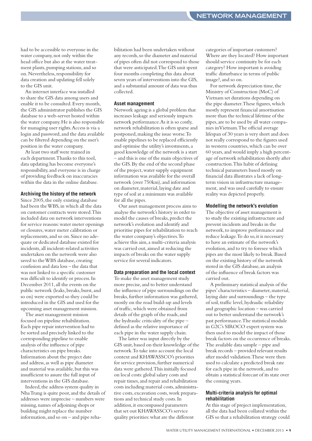had to be accessible to everyone in the water company, not only within the head office but also at the water treatment plants, pumping stations, and so on.Nevertheless, responsibility for data creation and updating fell solely to the GIS unit.

An internet interface was installed to share the GIS data among users and enable it to be consulted. Every month, the GIS administrator publishes the GIS database to a web-server hosted within the water company.He is also responsible for managing user rights.Access is via a login and password, and the data available can be filtered depending on the user's position in the water company.

At least two staff were trained in each department.Thanks to this tool, data updating has become everyone's responsibility, and everyone is in charge of providing feedback on inaccuracies within the data in the online database.

#### **Archiving the history of the network**

Since 2005, the only existing database had been the WBS, in which all the data on customer contracts were stored.This included data on network interventions for service reasons:water meter openings or closures,water meter calibration or replacements, and so on.Since no adequate or dedicated database existed for incidents, all incident-related activities undertaken on the network were also saved to theWBS database, creating confusion and data loss – the data that was not linked to a specific customer was difficult to identify or process. In December 2011, all the events on the public network (leaks, breaks, burst, and so on) were exported so they could be introduced in the GIS and used for the upcoming asset management mission.

The asset management mission focused on pipeline rehabilitation. Each pipe repair intervention had to be sorted and precisely linked to the corresponding pipeline to enable analysis of the influence of pipe characteristics on pipe breaks. Information about the project date and address, as well as pipe diameter and material was available, but this was insufficient to assure the full input of interventions in the GIS database.

Indeed, the address system quality in NhaTrang is quite poor, and the details of addresses were imprecise – numbers were missing, names of adjoining shops or building might replace the number information, and so on – and pipe rehabilitation had been undertaken without any records, so the diameter and material of pipes often did not correspond to those that were anticipated.The GIS unit spent four months completing this data about seven years of interventions into the GIS, and a substantial amount of data was thus collected.

#### **Asset management**

Network ageing is a global problem that increases leakage and seriously impacts network performance.As it is so costly, network rehabilitation is often sparse and postponed,making the issue worse.To enable pipelines to be replaced efficiently and optimise the utility's investments, a good knowledge of the network is a start – and this is one of the main objectives of the GIS.By the end of the second phase of the project,water supply equipment information was available for the overall network (over 750km), and information on diameter,material, laying date and type of soil at a minimum was available for all the pipes.

Our asset management process aims to analyse the network's history in order to model the causes of breaks, predict the network's evolution and identify and prioritise pipes for rehabilitation to reach the water company's objectives.To achieve this aim, a multi-criteria analysis was carried out, aimed at reducing the impacts of breaks on the water supply service for several indicators.

#### **Data preparation and the local context**

To make the asset management study more precise, and to better understand the influence of pipe surroundings on the breaks,further information was gathered, mostly on the road build-up and levels of traffic,which were obtained from details of the graph of the roads, and the hydraulic criticality of the pipe – defined as the relative importance of each pipe in the water supply chain.

The latter was input directly by the GIS unit, based on their knowledge of the network.To take into account the local context and KHAWASSCO's priorities for service provision, further numerical data were gathered.This initially focused on local costs: global salary costs and repair times, and repair and rehabilitation costs including material costs, administrative costs, excavation costs,work preparations and technical study costs. In addition, it encompassed parameters that set out KHAWASSCO's service quality priorities:what are the different

categories of important customers? Where are they located? How important should service continuity be for each category? How important is avoiding traffic disturbance in terms of public image?, and so on.

For network depreciation time, the Ministry of Construction (MoC) of Vietnam set durations depending on the pipe diameter. These figures, which mostly represent financial amortisation more than the technical lifetime of the pipes, are to be used by all water companies inVietnam.The official average lifespan of 30 years is very short and does not really correspond to the figures used in western countries,which can be over 60 years, and would imply a high percentage of network rehabilitation shortly after construction.This habit of defining technical parameters based mostly on financial data illustrates a lack of longterm vision in infrastructure management, and was used carefully to ensure reality was depicted properly.

#### **Modelling the network's evolution**

The objective of asset management is to study the existing infrastructure and prevent incidents and breaks in the network,to improve performance and reduce leakage. To do so, it is necessary to have an estimate of the network's evolution, and to try to foresee which pipes are the most likely to break.Based on the existing history of the network stored in the GIS database, an analysis of the influence of break factors was carried out.

A preliminary statistical analysis of the pipes' characteristics – diameter,material, laying date and surroundings – the type of soil, traffic level, hydraulic reliability and geographic location – was carried out to better understand the network's past performance.The statistical module in G2C's SIROCO expert system was then used to model the impact of those break factors on the occurrence of breaks. The available data sample – pipe and break records – provided relevant results after model validation.These were then used to calculate a predicted break rate for each pipe in the network, and to obtain a statistical forecast of its state over the coming years.

#### **Multi-criteria analysis for optimal rehabilitation**

At this stage of project implementation, all the data had been collated within the GIS so that a rehabilitation strategy could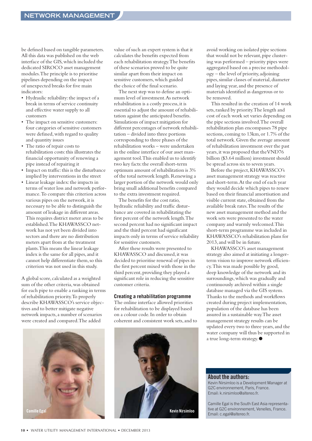be defined based on tangible parameters. All this data was published on the web interface of the GIS,which included the dedicated SIROCO asset management modules.The principle is to prioritise pipelines depending on the impact of unexpected breaks for five main indicators:

- Hydraulic reliability: the impact of a break in terms of service continuity and effective water supply to all customers
- The impact on sensitive customers: four categories of sensitive customers were defined,with regard to quality and quantity issues
- The ratio of repair costs to rehabilitation costs:this illustrates the financial opportunity of renewing a pipe instead of repairing it
- Impact on traffic: this is the disturbance implied by interventions in the street
- Linear leakage index: the impacts in terms of water loss and network performance.To compare this criterion across various pipes on the network, it is necessary to be able to distinguish the amount of leakage in different areas. This requires district meter areas to be established.The KHAWASSCO network has not yet been divided into sectors and there are no distribution meters apart from at the treatment plants.This means the linear leakage index is the same for all pipes, and it cannot help differentiate them, so this criterion was not used in this study.

A global score, calculated as a weighted sum of the other criteria,was obtained for each pipe to enable a ranking in terms of rehabilitation priority.To properly describe KHAWASSCO's service objectives and to better mitigate negative network impacts, a number of scenarios were created and compared.The added



value of such an expert system is that it calculates the benefits expected from each rehabilitation strategy.The benefits of these scenarios proved to be quite similar apart from their impact on sensitive customers,which guided the choice of the final scenario.

The next step was to define an optimum level of investment.As network rehabilitation is a costly process, it is essential to adjust the amount of rehabilitation against the anticipated benefits. Simulations of impact mitigation for different percentages of network rehabilitation – divided into three portions corresponding to three phases of the rehabilitation works – were undertaken in the online interface of our asset management tool.This enabled us to identify two key facts: the overall short-term optimum amount of rehabilitation is 3% of the total network length.Renewing a larger portion of the network would only bring small additional benefits compared to the extra investment required.

The benefits for the cost ratio, hydraulic reliability and traffic disturbance are covered in rehabilitating the first percent of the network length.The second percent had no significant impact and the third percent had significant impacts only in terms of service reliability for sensitive customers.

After these results were presented to KHAWASSCO and discussed, it was decided to prioritise renewal of pipes in the first percent mixed with those in the third percent, providing they played a significant role in reducing the sensitive customer criteria.

#### **Creating a rehabilitation programme**

The online interface allowed priorities for rehabilitation to be displayed based on a colour code. In order to obtain coherent and consistent work sets, and to



avoid working on isolated pipe sections that would not be relevant, pipe clustering was performed – priority pipes were aggregated based on a precise methodology – the level of priority, adjoining pipes, similar classes of material, diameter and laying year, and the presence of materials identified as dangerous or to be removed.

This resulted in the creation of 14 work sets, ranked by priority.The length and cost of each work set varies depending on the pipe sections involved.The overall rehabilitation plan encompasses 78 pipe sections, coming to 13km, or 1.7% of the total network.Given the average amount of rehabilitation investment over the past years, it was proposed that the VND76 billion (\$3.64 million) investment should be spread across six to seven years.

Before the project,KHAWASSCO's asset management strategy was reactive and short-term.At the end of each year they would decide which pipes to renew based on their financial amortisation and visible current state, obtained from the available break rates.The results of the new asset management method and the work sets were presented to the water company and warmly welcomed.This short-term programme was included in KHAWASSCO's rehabilitation plans for 2013, and will be in future.

KHAWASSCO's asset management strategy also aimed at initiating a longerterm vision to improve network efficiency.This was made possible by good, deep knowledge of the network and its surroundings,which was gradually and continuously archived within a single database managed via the GIS system. Thanks to the methods and workflows created during project implementation, population of the database has been assured in a sustainable way.The asset management strategy results can be updated every two to three years, and the water company will thus be supported in a true long-term strategy.●

**About the authors:**

Kevin Nirsimloo is a Development Manager at G2C environnement, Paris, France. Email: k.nirsimloo@altereo.fr.

Camille Egal is the South East Asia representative at G2C environnement, Venelles, France.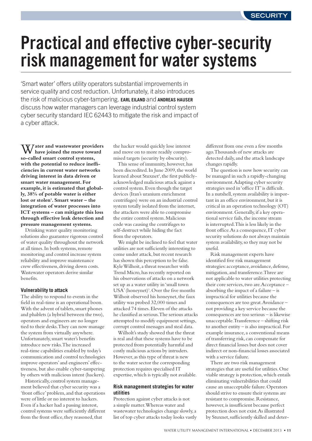# **Practical and effective cyber-security risk management for water systems**

'Smart water' offers utility operators substantial improvements in service quality and cost reduction. Unfortunately, it also introduces the risk of malicious cyber-tampering. **EARL EILAND** and **ANDREAS HAUSER** discuss how water managers can leverage industrial control system cyber security standard IEC 62443 to mitigate the risk and impact of a cyber attack.

W**ater and wastewater providers have joined the move toward so-called smart control systems, with the potential to reduce inefficiencies in current water networks driving interest in data driven or smart water management. For example, it is estimated that globally, 38% of potable water is either lost or stolen1 . Smart water – the integration of water processes into ICT systems – can mitigate this loss through effective leak detection and pressure management systems.**

Drinking water quality monitoring solutions also guarantee rigorous control of water quality throughout the network at all times. In both systems, remote monitoring and control increase system reliability and improve maintenance crew effectiveness, driving down costs. Wastewater operators derive similar benefits.

#### **Vulnerability to attack**

The ability to respond to events in the field in real-time is an operational boon. With the advent of tablets, smart phones and phablets (a hybrid between the two), operators and engineers are no longer tied to their desks.They can now manage the system from virtually anywhere. Unfortunately, smart water's benefits introduce new risks.The increased real-time capabilities enabled by today's communication and control technologies improve operators' and engineers' effectiveness, but also enable cyber-tampering by others with malicious intent (hackers).

Historically, control system management believed that cyber security was a 'front office' problem, and that operations were of little or no interest to hackers. Even if a hacker had a passing interest, control systems were sufficiently different from the front office, they reasoned, that

the hacker would quickly lose interest and move on to more readily compromised targets (security by obscurity).

This sense of immunity, however, has been discredited. In June 2009, the world learned about Stuxnet<sup>2</sup>, the first publiclyacknowledged malicious attack against a control system. Even though the target devices (Iran's uranium enrichment centrifuges) were on an industrial control system totally isolated from the internet, the attackers were able to compromise the entire control system.Malicious code was causing the centrifuges to self-destruct while hiding the fact from the operators.

We might be inclined to feel that water utilities are not sufficiently interesting to come under attack, but recent research has shown this perception to be false. KyleWilhoit, a threat researcher with Trend Micro, has recently reported on his observations of attacks on a network set up as a water utility in'small town USA' (honeynet)<sup>3</sup>. Over the five months Wilhoit observed his honeynet, the faux utility was probed 32,000 times and attacked 74 times. Eleven of the attacks he classified as serious.The serious attacks attempted to modify equipment settings, corrupt control messages and steal data.

Wilholt's study showed that the threat is real and that these systems have to be protected from potentially harmful and costly malicious actions by intruders. However, as this type of threat is new to the water sector the corresponding protection requires specialised IT expertise, which is typically not available.

#### **Risk management strategies for water utilities**

Protection against cyber attacks is not a simple matter.Whereas water and wastewater technologies change slowly, a list of top cyber attacks today looks vastly different from one even a few months ago.Thousands of new attacks are detected daily, and the attack landscape changes rapidly.

The question is now how security can be managed in such a rapidly-changing environment.Adapting cyber security strategies used in'office IT'is difficult. In a nutshell, system availability is important in an office environment, but it is critical in an operation technology (OT) environment.Generally,if a key operational service fails, the income stream is interrupted.This is less likely in the front office.As a consequence, IT cyber security solutions do not always maintain system availability, so they may not be useful.

Risk management experts have identified five risk management strategies: acceptance, avoidance, defense, mitigation, and transference.Three are not applicable to water utilities protecting their core services, two are. Acceptance absorbing the impact of a failure – is impractical for utilities because the consequences are too great.Avoidance – not providing a key service because the consequences are too serious – is likewise unacceptable.Transference – shifting risk to another entity – is also impractical. For example insurance, a conventional means of transferring risk, can compensate for direct financial losses but does not cover indirect or non-financial losses associated with a service failure.

There are two risk management strategies that are useful for utilities.One viable strategy is protection,which entails eliminating vulnerabilities that could cause an unacceptable failure.Operators should strive to ensure their systems are resistant to compromise.Resistance, however, is insufficient because perfect protection does not exist.As illustrated by Stuxnet, sufficiently skilled and deter-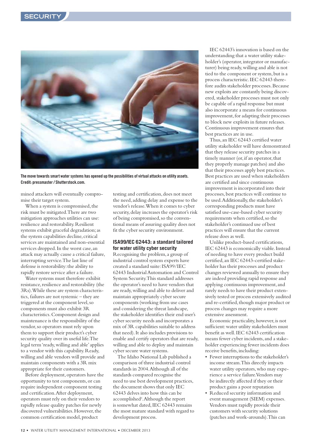

**The move towards smart water systems has opened up the possibilities of virtual attacks on utility assets. Credit: pressmaster / Shutterstock.com.**

mined attackers will eventually compromise their target system.

When a system is compromised, the risk must be mitigated.There are two mitigation approaches utilities can use: resilience and restorability.Resilient systems exhibit graceful degradation; as the system capabilities decline, critical services are maintained and non-essential services dropped. In the worst case, an attack may actually cause a critical failure, interrupting service.The last line of defense is restorability:the ability to rapidly restore service after a failure.

Water systems must therefore exhibit resistance, resilience and restorability (the 3Rs).While these are system characteristics, failures are not systemic – they are triggered at the component level, so components must also exhibit 3R characteristics. Component design and maintenance is the responsibility of the vendor, so operators must rely upon them to support their product's cyber security quality over its useful life.The legal term'ready,willing and able' applies to a vendor with this capability.Ready, willing and able vendors will provide and maintain components with a 3R mix appropriate for their customers.

Before deployment, operators have the opportunity to test components, or can require independent component testing and certification.After deployment, operators must rely on their vendors to rapidly release quality patches for newly discovered vulnerabilities. However, the common certification model, product

testing and certification, does not meet the need, adding delay and expense to the vendor's release.When it comes to cyber security, delay increases the operator's risk of being compromised, so the conventional means of assuring quality does not fit the cyber security environment.

#### **ISA99/IEC 62443: a standard tailored for water utility cyber security**

Recognising the problem, a group of industrial control system experts have created a standard suite: ISA99/IEC 62443 Industrial Automation and Control System Security.This standard addresses the operator's need to have vendors that are ready,willing and able to deliver and maintain appropriately cyber secure components (working from use cases and considering the threat landscape, the stakeholder identifies their end user's cyber security needs and incorporates a mix of 3R capabilities suitable to address that need). It also includes provisions to enable and certify operators that are ready, willing and able to deploy and maintain cyber secure water systems.

The Idaho National Lab published a comparison of three industrial control standards in 2004.Although all of the standards compared recognise the need to use best development practices, the document shows that only IEC 62443 delves into how this can be accomplished<sup>4</sup>. Although the report is somewhat dated, IEC 62443 remains the most mature standard with regard to development process.

IEC 62443's innovation is based on the understanding that a water utility stakeholder's (operator, integrator or manufacturer) being ready,willing and able is not tied to the component or system, but is a process characteristic. IEC 62443 therefore audits stakeholder processes.Because new exploits are constantly being discovered, stakeholder processes must not only be capable of a rapid response but must also incorporate a means for continuous improvement, for adapting their processes to block new exploits in future releases. Continuous improvement ensures that best practices are in use.

Thus, an IEC 62443 certified water utility stakeholder will have demonstrated that they release security patches in a timely manner (or, if an operator, that they properly manage patches) and also that their processes apply best practices. Best practices are used when stakeholders are certified and since continuous improvement is incorporated into their processes, best practices will continue to be used. Additionally, the stakeholder's corresponding products must have satisfied use-case-based cyber security requirements when certified, so the stakeholder's continued use of best practices will ensure that the current release does as well.

Unlike product-based certifications, IEC 62443 is economically viable. Instead of needing to have every product build certified, an IEC 62443-certified stakeholder has their processes and product changes reviewed annually to ensure they are indeed providing rapid response and applying continuous improvement, and rarely needs to have their product extensively tested or process extensively audited and re-certified, though major product or process changes may require a more extensive assessment.

Economic practicality, however, is not sufficient:water utility stakeholders must benefit as well. IEC 62443 certification means fewer cyber incidents, and a stakeholder experiencing fewer incidents does receive benefits,including:

- Fewer interruptions to the stakeholder's income stream.This directly impacts water utility operators, who may experience a service failure.Vendors may be indirectly affected if they or their product gains a poor reputation
- Reduced security information and event management (SIEM) expenses. Vendors must rapidly provide their customers with security solutions (patches and work-arounds).This can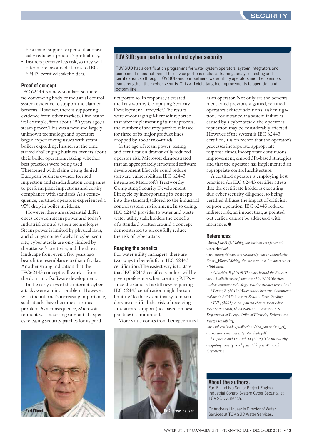be a major support expense that drastically reduces a product's profitability.

• Insurers perceive less risk, so they will offer more favourable terms to IEC 62443-certified stakeholders.

#### **Proof of concept**

IEC 62443 is a new standard, so there is no convincing body of industrial control system evidence to support the claimed benefits. However, there is supporting evidence from other markets.One historical example, from about 150 years ago, is steam power.This was a new and largely unknown technology, and operators began experiencing issues with steam boilers exploding. Insurers at the time started challenging business owners about their boiler operations, asking whether best practices were being used. Threatened with claims being denied, European business owners formed inspection and standardisation companies to perform plant inspections and certify compliance with standards.As a consequence, certified operators experienced a 95% drop in boiler incidents.

However, there are substantial differences between steam power and today's industrial control system technologies. Steam power is limited by physical laws, and changes come slowly. In cyber security, cyber attacks are only limited by the attacker's creativity, and the threat landscape from even a few years ago bears little resemblance to that of today. Another strong indication that the IEC62443 concept will work is from the domain of software development.

In the early days of the internet, cyber attacks were a minor problem.However, with the internet's increasing importance, such attacks have become a serious problem.As a consequence,Microsoft found it was incurring substantial expenses releasing security patches for its prod-



#### **TÜV SÜD: your partner for robust cyber security**

TÜV SÜD has a certification programme for water system operators, system integrators and component manufacturers. The service portfolio includes training, analysis, testing and certification, so through TÜV SÜD and our partners, water utility operators and their vendors can strengthen their cyber security. This will yield tangible improvements to operation and bottom line.

uct portfolio. In response,it created theTrustworthy Computing Security Development Lifecycle<sup>5</sup>. The results were encouraging:Microsoft reported that after implementing its new process, the number of security patches released for three of its major product lines dropped by about two-thirds.

In the age of steam power, testing and certification dramatically reduced operator risk.Microsoft demonstrated that an appropriately structured software development lifecycle could reduce software vulnerabilities. IEC 62443 integrated Microsoft'sTrustworthy Computing Security Development Lifecycle by incorporating its concepts into the standard, tailored to the industrial control system environment. In so doing, IEC 62443 provides to water and wastewater utility stakeholders the benefits of a standard written around a concept demonstrated to successfully reduce the risk of cyber attack.

#### **Reaping the benefits**

For water utility managers, there are two ways to benefit from IEC 62443 certification.The easiest way is to state that IEC 62443 certified vendors will be given preference when creating RFPs – since the standard is still new, requiring IEC 62443 certification might be too limiting.To the extent that system vendors are certified, the risk of receiving substandard support (not based on best practices) is minimised.

More value comes from being certified



as an operator.Not only are the benefits mentioned previously gained, certified operators achieve additional risk mitigation. For instance,if a system failure is caused by a cyber attack, the operator's reputation may be considerably affected. However, if the system is IEC 62443 certified,it is on record that the operator's processes incorporate appropriate response times,incorporate continuous improvement, embed 3R-based strategies and that the operator has implemented an appropriate control architecture.

A certified operator is employing best practices.An IEC 62443 certifier attests that the certificate holder is executing due cyber security diligence, so being certified diffuses the impact of criticism of poor operation. IEC 62443 reduces indirect risk, an impact that, as pointed out earlier, cannot be addressed with insurance ●

#### **References**

<sup>1</sup> Berst, *J* (2013), Making the business case for smart *water.Available:*

*www.smartgridnews.com/artman/publish/Technologies\_ Smart\_Water/Making-the-business-case-for-smart-water-6066.html.*

*<sup>2</sup> Schneider,B (2010),The story behind the Stuxnet virus.Available: www.forbes.com/2010/10/06/irannuclear-computer-technology-security-stuxnet-worm.html.*

*<sup>3</sup> Lemos,R (2013),Water-utility honeynet illuminates real-world SCADA threats, Security Dark Reading.*

*<sup>4</sup> INL,(2005),A comparison of cross-sector cyber security standards, Idaho National Laboratory, US Department of Energy,Office of Electricity Delivery and Energy Reliability,*

*www.inl.gov/scada/publications/d/a\_comparison\_of\_ cross-sector\_cyber\_security\_standards.pdf.*

*<sup>5</sup> Lipner, S and Howard,M (2005),The trustworthy computing security development lifecycle,Microsoft Corporation.*

#### **About the authors:**

Earl Eiland is a Senior Project Engineer, Industrial Control System Cyber Security, at TÜV SÜD America.

Dr Andreas Hauser is Director of Water Services at TÜV SÜD Water Services.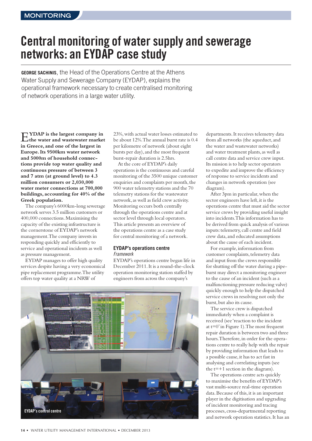## **Central monitoring of watersupply and sewerage networks: an EYDAP case study**

**GEORGE SACHINIS**, the Head of the Operations Centre at the Athens Water Supply and Sewerage Company (EYDAP), explains the operational framework necessary to create centralised monitoring of network operations in a large water utility.

E**YDAP is the largest company in the water and wastewater market in Greece, and one of the largest in Europe.Its 9500km water network and 5000m of household connections provide top water quality and continuous pressure of between 3 and 7 atm (at ground level) to 4.3 million consumers or 2,030,000 water meter connections at 700,000 buildings, accounting for 40% of the Greek population.**

The company's 6000km-long sewerage network serves 3.5 million customers or 400,000 connections.Maximising the capacity of the existing infrastructure is the cornerstone of EYDAP's network management.The company invests in responding quickly and efficiently to service and operational incidents as well as pressure management.

EYDAP manages to offer high quality services despite having a very economical pipe replacement programme.The utility offers top water quality at a NRW of

23%,with actual water losses estimated to be about 12%.The annual burst rate is 0.4 per kilometre of network (about eight bursts per day), and the most frequent burst-repair duration is 2.5hrs.

At the core of EYDAP's daily operations is the continuous and careful monitoring of the 3500 unique customer enquiries and complaints per month, the 900 water telemetry stations and the 70 telemetry stations for the wastewater network,as well as field crew activity. Monitoring occurs both centrally through the operations centre and at sector level through local operators. This article presents an overview of the operations centre as a case study for central monitoring of a network.

#### **EYDAP's operations centre** Framework

EYDAP's operations centre began life in December 2011.It is a round-the-clock operation monitoring station staffed by engineers from across the company's



departments.It receives telemetry data from all networks (the aqueduct, and the water and wastewater networks) and water treatment plants,as well as call centre data and service crew input. Its mission is to help sector operators to expedite and improve the efficiency of response to service incidents and changes in network operation (see diagram).

After 3pm in particular, when the sector engineers have left, it is the operations centre that must aid the sector service crews by providing useful insight into incidents.This information has to be derived from quick analysis of various inputs: telemetry, call centre and field crew data,and educated assumptions about the cause of each incident.

For example, information from customer complaints, telemetry data and input from the crews responsible for shutting off the water during a pipeburst may direct a monitoring engineer to the cause of an incident (such as a malfunctioning pressure reducing valve) quickly enough to help the dispatched service crews in resolving not only the burst, but also its cause.

The service crew is dispatched immediately when a complaint is received (see 'reaction to the incident at t=0'in Figure 1).The most frequent repair duration is between two and three hours.Therefore,in order for the operations centre to really help with the repair by providing information that leads to a possible cause,it has to act fast in analysing and correlating inputs (see the  $t=+1$  section in the diagram).

The operations centre acts quickly to maximise the benefits of EYDAP's vast multi-source real-time operation data. Because of this, it is an important player in the digitisation and upgrading of incident monitoring and tracing processes, cross-departmental reporting and network operation statistics.It has an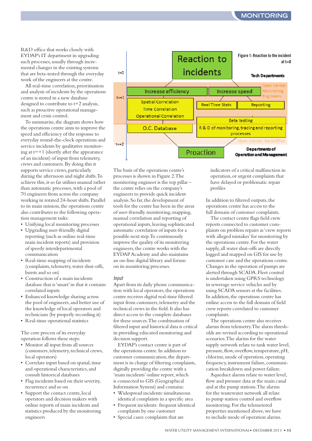R&D office that works closely with EYDAP's IT department in upgrading such processes, usually through incremental changes in the existing systems that are beta-tested through the everyday work of the engineers at the centre.

All real-time correlation, prioritisation and analysis of incidents by the operations centre is stored in a new database designed to contribute to t+2 analysis, such as proactive operational management and crisis control.

To summarise, the diagram shows how the operations centre aims to improve the speed and efficiency of the response to everyday round-the-clock operations and service incidents by qualitative monitoring at  $t=+1$  (shortly after the appearance of an incident) of input from telemetry, crews and customers.By doing this it supports service crews, particularly during the afternoon and night shifts.To achieve this,it so far utilises manual rather than automatic processes, with a pool of 70 engineers from across the company working in rotated 24-hour shifts.Parallel to its main mission, the operations centre also contributes to the following operation management tasks:

- Unifying local monitoring processes
- Upgrading user-friendly digital reporting (such as online real-time main incident reports) and provision of speedy interdepartmental communication
- Real-time mapping of incidents (complaints, telemetry, water shut-offs, bursts and so on)
- Construction of a main incidents database that is'smart'in that it contains correlated inputs
- Enhanced knowledge sharing across the pool of engineers,and better use of the knowledge of local operators and technicians (by properly recording it)
- Real-time operational statistics

The core process of its everyday operation follows these steps:

- Monitor all input from all sources (customers,telemetry,technical crews, local operators)
- Correlate input based on spatial, time and operational characteristics,and consult historical databases
- Flag incidents based on their severity, recurrence and so on
- Support the contact centre, local operators and decision makers with online reports of main incidents and statistics produced by the monitoring engineers



The basis of the operations centre's processes is shown in Figure 2.The monitoring engineer is the top pillar – the centre relies on the company's engineers to provide quick incident analysis.So far,the development of tools for the centre has been in the areas of user-friendly monitoring,mapping, manual correlation and reporting of operational inputs,leaving sophisticated automatic correlation of inputs for a possible next step.To continuously improve the quality of its monitoring engineers,the centre works with the EYDAPAcademy and also maintains an on-line digital library and forum on its monitoring processes.

#### Input

Apart from its daily phone communication with local operators, the operations centre receives digital real-time filtered input from customers, telemetry and the technical crews in the field.It also has direct access to the complete databases for these sources.The combination of filtered input and historical data is critical in providing educated monitoring and decision support.

EYDAP's contact centre is part of the operations centre.In addition to customer communication, the department is in charge of filtering complaints, digitally providing the centre with a 'main incidents'online report,which is connected to GIS (Geographical Information System) and contains:

- Widespread incidents:simultaneous identical complaints in a specific area • Frequent incidents: frequent identical
- complaints by one customer
- Special cases: complaints that are

indicators of a critical malfunction in operation,or urgent complaints that have delayed or problematic repair profiles

In addition to filtered outputs, the operations centre has access to the full domain of customer complaints.

The contact centre flags field crew reports connected to customer complaints on problem repairs as'crew reports with alleged mistakes'for monitoring by the operations centre.For the water supply,all water shut-offs are directly logged and mapped on GIS for use by customer care and the operations centre. Changes in the operation of pumps are alerted through SCADA. Fleet control is undertaken using GPRS technology in sewerage service vehicles and by using SCADA sensors at the facilities. In addition, the operations centre has online access to the full domain of field crew reports correlated to customer complaints.

The operations centre also receives alarms from telemetry.The alarm thresholds are revised according to operational scenarios.The alarms for the water supply network relate to tank water level, pressure, flow, overflow, temperature, pH, chlorine, mode of operation, operating frequency, instrument failure, communication breakdown and power failure.

Aqueduct alarms relate to water level, flow and pressure data at the main canal and at the pump stations.The alarms for the wastewater network all relate to pump station control and overflow monitoring.For the telemetered properties mentioned above, we have to include mode of operation alarms.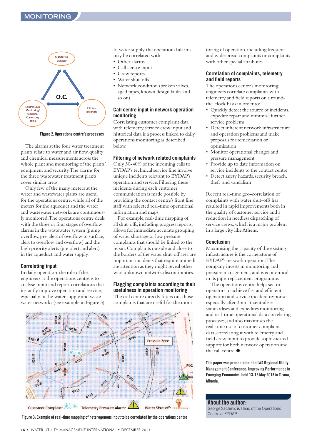

#### **Figure 2: Operations centre's processes**

The alarms at the four water treatment plants relate to water and air flow,quality and chemical measurements across the whole plant and monitoring of the plants' equipment and security.The alarms for the three wastewater treatment plants cover similar areas.

Only few of the many meters at the water and wastewater plants are useful for the operations centre,while all of the meters for the aqueduct and the water and wastewater networks are continuously monitored.The operations centre deals with the three or four stages of overflow alarms in the wastewater system (pump overflow,pre-alert of overflow to surface, alert to overflow and overflow) and the high priority alerts (pre-alert and alert) in the aqueduct and water supply.

#### **Correlating input**

In daily operation, the role of the engineers at the operations centre is to analyse input and report correlations that instantly improve operation and service, especially in the water supply and wastewater networks (see example in Figure 3). In water supply, the operational alarms may be correlated with:

- Other alarms
- Call centre input
- Crew reports
- Water shut-offs
- Network condition (broken valves, aged pipes, known design faults and so on)

#### **Call centre input in network operation monitoring**

Correlating customer complaint data with telemetry, service crew input and historical data is a process linked to daily operations monitoring as described below.

#### **Filtering of network related complaints**

Only 30-40% of the incoming calls to EYDAP's technical service line involve unique incidents relevant to EYDAP's operation and service.Filtering these incidents during each customer communication is made possible by providing the contact centre's front line staff with selected real-time operational information and maps.

For example, real-time mapping of all shut-offs,including progress reports, allows for immediate accurate grouping of water shortage or low pressure complaints that should be linked to the repair.Complaints outside and close to the borders of the water shut-off area are important incidents that require immediate attention as they might reveal otherwise unknown network discontinuities.

#### **Flagging complaints according to their usefulness in operation monitoring** The call centre directly filters out those

complaints that are useful for the moni-



**Figure 3: Example of real-time mapping of heterogenousinput to be correlated bythe operations centre**

toring of operation,including frequent and widespread complaints or complaints with other special attributes.

#### **Correlation of complaints, telemetry and field reports**

The operations centre's monitoring engineers correlate complaints with telemetry and field reports on a roundthe-clock basis in order to:

- Quickly detect the source of incidents, expedite repair and minimise further service problems
- Detect inherent network infrastructure and operation problems and make proposals for remediation or optimisation
- Monitor operational changes and pressure management
- Provide up to date information on service incidents to the contact centre
- Detect safety hazards, security breach, theft and vandalism

Recent real-time geo-correlation of complaints with water shut-offs has resulted in rapid improvements both in the quality of customer service and a reduction in needless dispatching of service crews,which is a major problem in a large city likeAthens.

#### **Conclusion**

Maximising the capacity of the existing infrastructure is the cornerstone of EYDAP's network operation.The company invests in monitoring and pressure management, and is economical in its pipe-replacement programme.

The operations centre helps sector operators to achieve fast and efficient operation and service incident response, especially after 3pm.It centralises, standardises and expedites monitoring and real-time operational data correlating processes,and also maximises the real-time use of customer complaint data, correlating it with telemetry and field crew input to provide sophisticated support for both network operation and the call centre.●

**This paper was presented at the IWA Regional Utility Management Conference: Improving Performance in Emerging Economies, held 13-15 May 2013 in Tirana, Albania.**

**About the author:** George Sachinis is Head of the Operations Centre at EYDAP.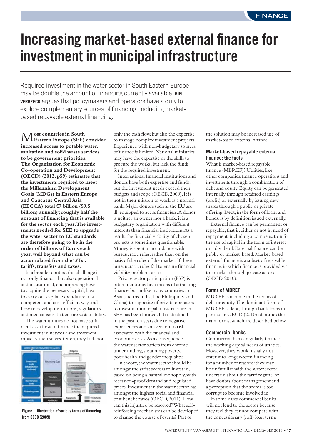## **Increasing market-based external finance for investment in municipal infrastructure**

Required investment in the water sector in South Eastern Europe may be double the amount of financing currently available. **GIEL VERBEECK** argues that policymakers and operators have a duty to explore complementary sources of financing, including marketbased repayable external financing.

M**ost countries in South Eastern Europe (SEE) consider increased access to potable water, sanitation and solid waste services to be government priorities. The Organisation for Economic Co-operation and Development (OECD) (2012, p59) estimates that the investments required to meet the Millennium Development Goals (MDGs) in Eastern Europe and Caucasus Central Asia (EECCA) total** €**7 billion (\$9.5 billion) annually; roughly half the amount of financing that is available for the sector each year.The investments needed for SEE to upgrade the water sector to EU standards are therefore going to be in the order of billions of Euros each year, well beyond what can be accumulated from the '3Ts': tariffs, transfers and taxes.**

In a broader context the challenge is not only financial but also operational and institutional, encompassing how to acquire the necessary capital, how to carry out capital expenditure in a competent and cost-efficient way, and how to develop institutions, regulations and mechanisms that ensure sustainability.

The water utilities do not have sufficient cash flow to finance the required investment in network and treatment capacity themselves. Often, they lack not



**Figure 1: Illustration of various forms of financing from OECD (2009)**

only the cash flow, but also the expertise to manage complex investment projects. Experience with non-budgetary sources of finance is limited.National ministries may have the expertise or the skills to procure the works, but lack the funds for the required investment.

International financial institutions and donors have both expertise and funds, but the investment needs exceed their budgets and scope (OECD,2009). It is not in their mission to work as a normal bank.Major donors such as the EU are ill-equipped to act as financiers.A donor is neither an owner, nor a bank, it is a budgetary organisation with different interests than financial institutions.As a result, the financial viability of chosen projects is sometimes questionable. Money is spent in accordance with bureaucratic rules, rather than on the basis of the rules of the market. If these bureaucratic rules fail to ensure financial viability, problems arise.

Private sector participation (PSP) is often mentioned as a means of attracting finance, but unlike many countries in Asia (such as India,The Philippines and China) the appetite of private operators to invest in municipal infrastructure in SEE has been limited. It has declined in the past ten years due to negative experiences and an aversion to risk associated with the financial and economic crisis.As a consequence the water sector suffers from chronic underfunding, sustaining poverty, poor health and gender inequality.

In theory, the water sector should be amongst the safest sectors to invest in, based on being a natural monopoly,with recession-proof demand and regulated prices. Investment in the water sector has amongst the highest social and financial cost benefit ratios (OECD,2011).How can this injustice be resolved?What selfreinforcing mechanisms can be developed to change the course of events? Part of

the solution may be increased use of market-based external finance.

#### **Market-based repayable external finance: the facts**

What is market-based repayable finance (MBREF)? Utilities, like other companies, finance operations and investments through a combination of debt and equity. Equity can be generated internally through retained earnings (profit) or externally by issuing new shares through a public or private offering.Debt,in the form of loans and bonds,is by definition issued externally.

External finance can be permanent or repayable, that is, either or not in need of repayment, including a compensation for the use of capital in the form of interest or a dividend. External finance can be public or market-based.Market-based external finance is a subset of repayable finance,in which finance is provided via the market through private actors (OECD,2010).

#### **Forms of MBREF**

MBREF can come in the forms of debt or equity.The dominant form of MBREF is debt, through bank loans in particular.OECD (2010) identifies the main forms,which are described below.

#### **Commercial banks**

Commercial banks regularly finance the working capital needs of utilities. However, they would usually not enter into longer-term financing for a number of reasons: they may be unfamiliar with the water sector, uncertain about the tariff regime, or have doubts about management and a perception that the sector is too corrupt to become involved in.

In some cases commercial banks will not lend to the sector because they feel they cannot compete with the concessionary (soft) loan terms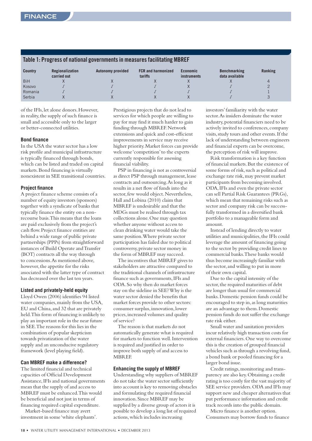| Table 1: Progress of Hational governments in Ineasures Tachitating Moreh |                                       |                          |                                      |                                       |                                       |         |  |
|--------------------------------------------------------------------------|---------------------------------------|--------------------------|--------------------------------------|---------------------------------------|---------------------------------------|---------|--|
| <b>Country</b>                                                           | <b>Regionalization</b><br>carried out | <b>Autonomy provided</b> | <b>FCR and harmonized</b><br>tariffs | <b>Economic</b><br><i>instruments</i> | <b>Benchmarking</b><br>data available | Ranking |  |
| <b>BiH</b>                                                               |                                       |                          |                                      |                                       |                                       |         |  |
| Kosovo                                                                   |                                       |                          |                                      |                                       |                                       |         |  |
| Romania                                                                  |                                       |                          |                                      |                                       |                                       |         |  |
| Serbia                                                                   |                                       |                          |                                      |                                       |                                       |         |  |

#### **Table 1: Progress of national governments in measures facilitating MBREF**

of the IFIs, let alone donors.However, in reality, the supply of such finance is small and accessible only to the larger or better-connected utilities.

#### **Bond finance**

In the USA the water sector has a low risk profile and municipal infrastructure is typically financed through bonds, which can be listed and traded on capital markets.Bond financing is virtually nonexistent in SEE transitional countries.

#### **Project finance**

A project finance scheme consists of a number of equity investors (sponsors) together with a syndicate of banks that typically finance the entity on a nonrecourse basis.This means that the loans are paid exclusively from the project's cash flow. Project finance entities are behind a wide range of public private partnerships (PPPs) from straightforward instances of Build Operate andTransfer (BOT) contracts all the way through to concessions.As mentioned above, however, the appetite for the risks associated with the latter type of contract has decreased over the last ten years.

#### **Listed and privately-held equity**

Lloyd Owen (2006) identifies 94 listed water companies, mainly from the USA, EU and China, and 32 that are privately held.This form of financing is unlikely to play an important role in the near future in SEE.The reasons for this lies in the combination of popular skepticism towards privatization of the water supply and an unconducive regulatory framework (level playing field).

#### **Can MBREF make a difference?**

The limited financial and technical capacities of Official Development Assistance, IFIs and national governments mean that the supply of and access to MBREF must be enhanced.This would be beneficial and not just in terms of financing required capital expenditure.

Market-based finance may avert investment in some'white elephants'. Prestigious projects that do not lead to services for which people are willing to pay for may find it much harder to gain funding through MBREF. Network extensions and quick and cost-efficient improvements in service may receive higher priority.Market forces can provide welcome'competition'to the experts currently responsible for assessing financial viability.

PSP in financing is not as controversial as direct PSP through management, lease contracts and outsourcing.As long as it results in a net flow of funds into the sector, few would object. Nevertheless, Hall and Lobina (2010) claim that MBREF is undesirable and that the MDGs must be realised through tax collections alone.One may question whether anyone without access to clean drinking water would take the same position.Where private sector participation has failed due to political controversy, private sector money in the form of MBREF may succeed.

The incentives that MBREF gives to stakeholders are attractive compared to the traditional channels of infrastructure finance such as governments, IFIs and ODA.So why then do market forces stay on the sideline in SEE?Why is the water sector denied the benefits that market forces provide to other sectors: consumer surplus,innovation, lower prices,increased volumes and quality of service?

The reason is that markets do not automatically generate what is required for markets to function well. Intervention is required and justified in order to improve both supply of and access to MBREF.

#### **Enhancing the supply of MBREF**

Understanding why suppliers of MBREF do not take the water sector sufficiently into account is key to removing obstacles and formulating the required financial innovation.Since MBREF may be supplied by a diverse group of actors it is possible to develop a long list of required actions,which includes increasing

investors'familiarity with the water sector.As insiders dominate the water industry, potential financiers need to be actively invited to conferences, company visits, study tours and other events. If the lack of understanding between engineers and financial experts can be overcome, the perception of risk will improve.

Risk transformation is a key function of financial markets.But the existence of some forms of risk, such as political and exchange rate risk,may prevent market participants from becoming involved. ODA, IFIs and even the private sector can sell Partial Risk Guarantees (PRGs), which mean that remaining risks such as sector and company risk can be successfully transformed in a diversified bank portfolio to a manageable form and amount.

Instead of lending directly to water utilities and municipalities, the IFIs could leverage the amount of financing going to the sector by providing credit lines to commercial banks.These banks would thus become increasingly familiar with the sector, and willing to put in more of their own capital.

Due to the capital intensity of the sector, the required maturities of debt are longer than usual for commercial banks.Domestic pension funds could be encouraged to step in, as long maturities are an advantage to them.Domestic pension funds do not suffer the exchange rate risk either.

Small water and sanitation providers incur relatively high transaction costs for external financiers.One way to overcome this is the creation of grouped financial vehicles such as through a revolving fund, a bond bank or pooled financing for a larger bond issue.

Credit ratings, monitoring and transparency are also key.Obtaining a credit rating is too costly for the vast majority of SEE service providers.ODA and IFIs may support new and cheaper alternatives that put performance information and credit track records into the public domain.

Micro finance is another option. Consumers may borrow funds to finance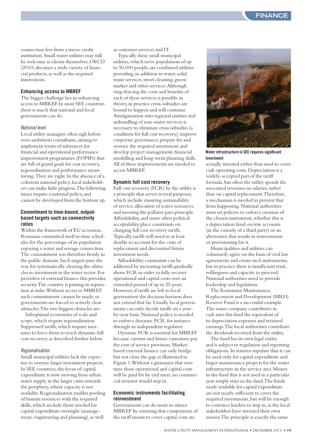connection fees from a micro credit institution.Small water utilities may still be welcome as clients themselves.OECD (2010) discusses a wide variety of financial products, as well as the required innovations.

#### **Enhancing access to MBREF**

The bigger challenge lies in enhancing access to MBREF. In most SEE countries there is much that national and local governments can do.

#### National level

Local utility managers often sigh before over-ambitious consultants, aiming to implement terms of references for financial and operational performance improvement programmes (FOPIPs) that are full of grand goals for cost recovery, regionalisation and performance monitoring.They are right. In the absence of a coherent national policy, local stakeholders can make little progress.The following issues require a national policy, and cannot be developed from the bottom up.

#### **Commitment to time-bound, outputbased targets such as connectivity ratios**

Within the framework of EU accession, Romania committed itself to time schedules for the percentage of its population enjoying a water and sewage connection. The commitment was therefore firmly in the public domain.Such targets pave the way for systematically clearing the obstacles to investment in the water sector. For providers of external finance this provides security.The country is putting its reputation at stake.Without access to MBREF such commitments cannot be made, so governments are forced to actively clear obstacles.The two biggest obstacles are:

Suboptimal economies of scale and scope,which require regionalization Suppressed tariffs,which require measures to force them to reach dynamic full cost recovery as described further below.

#### Regionalisation

Small municipal utilities lack the expertise to oversee larger investment projects. In SEE countries, the focus of capital expenditure is now moving from urban water supply in the larger cities towards the periphery,where capacity is not available.Regionalisation enables pooling of human resources with the required skills,which include those needed for capital expenditure oversight (management, engineering and planning), as well

as customer services and IT.

Typically these small municipal utilities,which serve populations of up to 50,000 people, are combined utilities providing, in addition to water, solid waste services, street cleaning, green market and other services.Although ring-fencing the costs and benefits of each of these services is possible in theory,in practice cross-subsidies are bound to happen and will continue. Amalgamation into regional entities and unbundling of non-water services is necessary to eliminate cross subsidies (a condition for full cost recovery);improve corporate governance; prepare for and oversee the required investment; and develop project management, financial modelling and long-term planning skills. All of these improvements are needed to access MBREF.

#### **Dynamic full cost recovery**

Full cost recovery (FCR) by the utility is a principle that serves several purposes, which include ensuring sustainability of service, allocation of scarce resources, and meeting the polluter pays principle. Affordability, and more often political acceptability, place constraints on charging full cost recovery tariffs. Typically,tariffs will need to at least double to account for the costs of replacement and discounted future investment needs.

Affordability constraints can be addressed by increasing tariffs gradually above FCR in order to fully recover operational and capital costs over an extended period of up to 25 years. However, if tariffs are left to local government the decision horizon does not extend that far.Usually local governments can only decide tariffs on a yearby-year basis.National policy is needed to enforce dynamic FCR, for instance through an independent regulator.

Dynamic FCR is essential for MBREF because current and future customers pay the cost of service provision.Marketbased external finance can only bridge but not close the gap, as illustrated in Figure 1.Without a guarantee that over time these operational and capital costs will be paid for by end users, no commercial investor would step in.

#### **Economic instruments facilitating reinvestment**

Governments can do more to attract MBREF by ensuring that components of the tariff meant to cover capital costs are



**Water infrastructure in SEE requires significant investment**

actually invested rather than used to cover cash operating costs.Depreciation is a widely-accepted part of the tariff formula, but often the utility spends the associated revenues on salaries, rather than on capital replacement.Therefore, a mechanism is needed to prevent that from happening.National authorities must set policies to enforce creation of the chosen instrument,whether this is a depreciation fund, escrow accounts (in the custody of a third party) or an alternative that results in reinvestment or provisioning for it.

Municipalities and utilities can voluntarily agree on the basis of civil law agreements and create such instruments, but in practice there is insufficient trust, willingness and capacity to proceed. National authorities need to provide leadership and legislation.

The Romanian Maintenance, Replacement and Development (MRD) Reserve Fund is a successful example. The water company contributes in cash into this fund the equivalent of its depreciation expenses and retained earnings.The local authorities contribute the dividends received from the utility.

The fund has its own legal entity, and is subject to regulation and reporting obligations. Its statutes stipulate that it can be used only for capital expenditure and larger maintenance projects for the water infrastructure in the service area.Money in the fund that is not used in a particular year simply stays in the fund.The funds made available for capital expenditure are not nearly sufficient to cover the required investments, but will be enough to convince lenders to step in, as the local stakeholders have invested their own money.The principle is exactly the same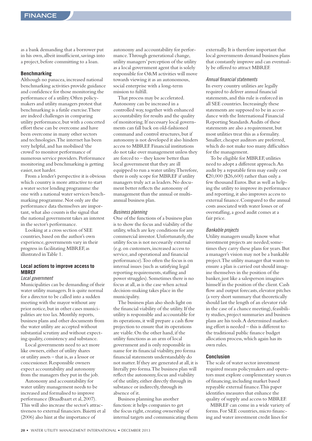as a bank demanding that a borrower put in his own, albeit insufficient, savings into a project, before committing to a loan.

#### **Benchmarking**

Although no panacea, increased national benchmarking activities provide guidance and confidence for those monitoring the performance of a utility.Often policymakers and utility managers protest that benchmarking is a futile exercise.There are indeed challenges in comparing utility performance, but with a concerted effort these can be overcome and have been overcome in many other sectors and technologies.The internet has been very helpful, and has mobilised'the crowd'to monitor performance of numerous service providers. Performance monitoring and benchmarking is getting easier, not harder.

From a lender's perspective it is obvious which country is more attractive to start a water sector lending programme: the one with a national water services benchmarking programme.Not only are the performance data themselves are important, what also counts is the signal that the national government takes an interest in the sector's performance.

Looking at a cross section of SEE countries, based on the author's own experience, governments vary in their progress in facilitating MBREF, as illustrated inTable 1.

#### **Local actions to improve access to MBREF**

#### Local government

Municipalities can be demanding of their water utility managers. It is quite normal for a director to be called into a sudden meeting with the mayor without any prior notice, but in other cases municipalities are too lax.Monthly reports, business plans and other documents from the water utility are accepted without substantial scrutiny and without expecting quality, consistency and substance.

Local governments need to act more like owners, either of utility shares or utility assets – that is, as a lessor or concessioner.Responsible owners expect accountability and autonomy from the managers they put in the job.

Autonomy and accountability for water utility management needs to be increased and formalised to improve performance (Braadbaart et al, 2007). This will also increase the sector's attractiveness to external financiers.Baietti et al (2006) also hint at the importance of

autonomy and accountability for performance.Through generational change, utility managers' perception of the utility as a local government agent that is solely responsible for O&M activities will move towards viewing it as an autonomous, social enterprise with a long-term mission to fulfill.

That process may be accelerated. Autonomy can be increased in a controlled way,together with enhanced accountability for results and the quality of monitoring. If necessary local governments can fall back on old-fashioned command and control structures, but if autonomy is not developed it also hinders access to MBREF. Financial institutions do not take over management unless they are forced to – they know better than local government that they are ill equipped to run a water utility.Therefore, there is only scope for MBREF if utility managers truly act as leaders.No document better reflects the autonomy of management than the annual or multiannual business plan.

#### Business planning

One of the functions of a business plan is to show the focus and viability of the utility,which are key conditions for any commercial investor.Unfortunately,the utility focus is not necessarily external (e.g. on customers,increased access to service, and operational and financial performance).Too often the focus is on internal issues (such as satisfying legal reporting requirements, staffing and power struggles).Sometimes there is no focus at all, as is the case when actual decision-making takes place in the municipality.

The business plan also sheds light on the financial viability of the utility. If the utility is responsible and accountable for its operations, it will prepare a cash flow projection to ensure that its operations are viable.On the other hand,if the utility functions as an arm of local government and is only responsible in name for its financial viability, pro forma financial statements understandably do not matter. If they are generated at all, it is literally pro forma.The business plan will reflect the autonomy, focus and viability of the utility, either directly through its substance or indirectly, through its absence of it.

Business planning has another function:it helps companies to get the focus right, creating ownership of internal targets and communicating them externally. It is therefore important that local governments demand business plans that constantly improve and can eventually be offered to attract MBREF.

#### Annual financial statements

In every country utilities are legally required to deliver annual financial statements, and this rule is enforced in all SEE countries. Increasingly these statements are supposed to be in accordance with the International Financial Reporting Standards.Audits of these statements are also a requirement, but most utilities treat this as a formality. Smaller, cheaper auditors are preferred, which do not make too many difficulties for the management.

To be eligible for MBREF, utilities need to adopt a different approach.An audit by a reputable firm may easily cost €20,000 (\$26,600) rather than only a few thousand Euros.But as well as helping the utility to improve its performance and reporting,it also improves access to external finance. Compared to the annual costs associated with water losses or of overstaffing, a good audit comes at a fair price.

#### Bankable projects

Utility managers usually know what investment projects are needed; sometimes they carry these plans for years.But a manager's vision may not be a bankable project.The utility manager that wants to ensure a plan is carried out should imagine themselves in the position of the banker, just like a salesperson imagines himself in the position of the client. Cash flow and output forecasts, elevator pitches (a very short summary that theoretically should last the length of an elevator ride in the case of a chance meeting), feasibility studies, project summaries and business plans are his tools.A determined marketing effort is needed – this is different to the traditional public finance budget allocation process,which again has its own rules.

#### **Conclusion**

The scale of water sector investment required means policymakers and operators must explore complementary sources of financing,including market based repayable external finance.This paper identifies measures that enhance the quality of supply and access to MBREF.

MBREF can come in a wide variety of forms. For SEE countries,micro financing and water investment credit lines for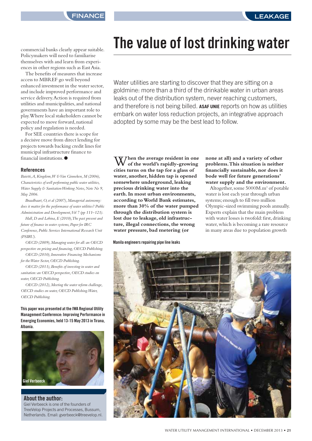commercial banks clearly appear suitable. Policymakers will need to familiarise themselves with and learn from experiences in other regions such as East Asia.

The benefits of measures that increase access to MBREF go well beyond enhanced investment in the water sector, and include improved performance and service delivery.Action is required from utilities and municipalities, and national governments have an important role to play.Where local stakeholders cannot be expected to move forward, national policy and regulation is needed.

For SEE countries there is scope for a decisive move from direct lending for projects towards backing credit lines for municipal infrastructure finance to financial institutions.●

#### **References**

*Baietti,A, Kingdom,W &Van Ginneken,M (2006), Characteristics of well performing public water utilities, Water Supply & Sanitation Working Notes, Note No 9, May 2006.*

*Braadbaart,O, et al (2007),Managerial autonomy: does it matter for the performance of water utilities? Public* Administration and Development, Vol 7 (pp 111–121).

*Hall,D and Lobina,E (2010),The past present and future of finance in water systems, Paper for IRC Conference, Public Services International Research Unit (PSIRU).*

*OECD (2009),Managing water for all: an OECD perspective on pricing and financing,OECD Publishing. OECD (2010), Innovative Financing Mechanisms for theWater Sector,OECD Publishing.*

*OECD (2011),Benefits of investing in water and sanitation: an OECD perspective,OECD studies on water,OECD Publishing.*

*OECD (2012),Meeting the water reform challenge, OECD studies on water,OECD Publishing.Water, OECD Publishing.*

**This paper was presented at the IWA Regional Utility Management Conference: Improving Performance in Emerging Economies, held 13-15 May 2013 in Tirana, Albania.**



**About the author:** Giel Verbeeck is one of the founders of TreeVelop Projects and Processes, Bussum, Netherlands. Email: gverbeeck@treevelop.nl.

## **The value of lost drinking water**

Water utilities are starting to discover that they are sitting on a goldmine: more than a third of the drinkable water in urban areas leaks out of the distribution system, never reaching customers, and therefore is not being billed. **ASAF UNIE** reports on how as utilities embark on water loss reduction projects, an integrative approach adopted by some may be the best lead to follow.

W**hen the average resident in one of the world's rapidly-growing cities turns on the tap for a glass of water, another, hidden tap is opened somewhere underground, leaking precious drinking water into the earth. In most urban environments, according toWorld Bank estimates, more than 30% of the water pumped through the distribution system is lost due to leakage, old infrastructure, illegal connections, the wrong water pressure, bad metering (or**

**Manila engineers repairing pipe line leaks**

#### **none at all) and a variety of other problems.This situation is neither financially sustainable, nor does it bode well for future generations' water supply and the environment.**

Altogether, some 5000M.m3 of potable water is lost each year through urban systems; enough to fill two million Olympic-sized swimming pools annually. Experts explain that the main problem with water losses is twofold: first, drinking water, which is becoming a rare resource in many areas due to population growth

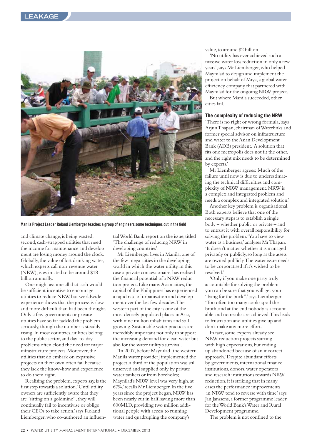

**Manila Project Leader Roland Liemberger teaches a group of engineers some techniques out in the field**

and climate change, is being wasted; second, cash-strapped utilities that need the income for maintenance and development are losing money around the clock. Globally, the value of lost drinking water, which experts call non-revenue water (NRW),is estimated to be around \$18 billion annually.

One might assume all that cash would be sufficient incentive to encourage utilities to reduce NRW, but worldwide experience shows that the process is slow and more difficult than had been thought. Only a few governments or private utilities have so far tackled the problem seriously, though the number is steadily rising. In most countries, utilities belong to the public sector, and day-to-day problems often cloud the need for major infrastructure projects. Moreover, the utilities that do embark on expansive projects on their own often fail because they lack the know-how and experience to do them right.

Realising the problem, experts say,is the first step towards a solution.'Until utility owners are sufficiently aware that they are "sitting on a goldmine", they will continually fail to incentivise or oblige their CEOs to take action,' says Roland Liemberger,who co-authored an influen-

tial World Bank report on the issue, titled 'The challenge of reducing NRW in developing countries'.

Mr Liemberger lives in Manila, one of the few mega-cities in the developing world in which the water utility, in this case a private concessionaire, has realised the financial potential of a NRW reduction project. Like many Asian cities, the capital of the Philippines has experienced a rapid rate of urbanisation and development over the last few decades.The western part of the city is one of the most densely populated places in Asia, with nine million inhabitants and still growing.Sustainable water practices are incredibly important not only to support the increasing demand for clean water but also for the water utility's survival.

'In 2007, before Maynilad [the western Manila water provider] implemented the project, a third of the population was still unserved and supplied only by private water tankers or from boreholes; Maynilad's NRW level was very high, at 67%,' recalls Mr Liemberger. In the five years since the project began, NRW has been nearly cut in half, saving more than 600MLD, providing two million additional people with access to running water and quadrupling the company's

value, to around \$2 billion.

'No utility has ever achieved such a massive water loss reduction in only a few years', says Mr Liemberger,who helped Maynilad to design and implement the project on behalf of Miya, a global water efficiency company that partnered with Maynilad for the ongoing NRW project.

But where Manila succeeded, other cities fail.

#### **The complexity of reducing the NRW**

'There is no right or wrong formula,' says ArjunThapan, chairman ofWaterlinks and former special advisor on infrastructure and water to the Asian Development Bank (ADB) president.'A solution that fits one metropolis does not fit the other, and the right mix needs to be determined by experts.'

Mr Liemberger agrees:'Much of the failure until now is due to underestimating the technical difficulties and complexity of NRW management.NRW is a complex and integrated problem and needs a complex and integrated solution.'

Another key problem is organisational. Both experts believe that one of the necessary steps is to establish a single body – whether public or private – and to entrust it with overall responsibility for solving the problem.'You have to view water as a business,' analyses MrThapan. 'It doesn't matter whether it is managed privately or publicly, so long as the assets are owned publicly.The water issue needs to be corporatised if it's wished to be resolved.'

'Only if you make one party truly accountable for solving the problem you can be sure that you will get your "bang for the buck",' says Liemberger. 'Too often too many cooks spoil the broth, and at the end nobody is accountable and no results are achieved.This leads to frustration and utilities give up and don't make any more effort.'

In fact, some experts already see NRW reduction projects starting with high expectations, but ending up abandoned because of an incorrect approach.'Despite abundant efforts by governments, international finance institutions, donors, water operators and research institutions towards NRW reduction, it is striking that in many cases the performance improvements in NRW tend to reverse with time,' says Jan Janssens, a former programme leader for theWorld Bank'sWater and Rural Development programme.

The problem is not confined to the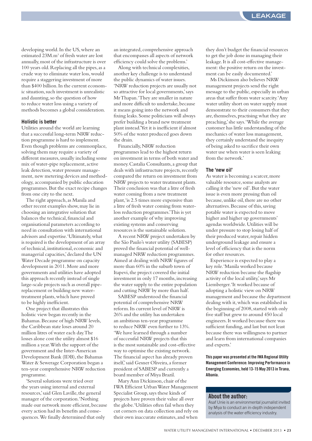developing world. In the US,where an estimated 23M.m3 of fresh water are lost annually,most of the infrastructure is over 100 years old.Replacing all the pipes, as a crude way to eliminate water loss,would require a staggering investment of more than \$400 billion. In the current economic situation, such investment is unrealistic and daunting, so the question of how to reduce water loss using a variety of methods becomes a global consideration.

#### **Holistic is better**

Utilities around the world are learning that a successful long-term NRW reduction programme is hard to implement. Even though problems are commonplace, solving them may require a variety of different measures, usually including some mix of water-pipe replacement, active leak detection,water pressure management, new metering devices and methodology, accompanied by public education programmes.But the exact recipe changes from one city to the next.

The right approach, as Manila and other recent examples show,may lie in choosing an integrative solution that balances the technical, financial and organisational parameters according to need in consultation with international advisors and expertise.'Ultimately,what is required is the development of an array of technical, institutional, economic and managerial capacities,' declared the UN Water Decade programme on capacity development in 2011.More and more governments and utilities have adopted this approach recently instead of single large-scale projects such as overall pipereplacement or building new watertreatment plants,which have proved to be highly inefficient.

One project that illustrates this holistic view began recently in the Bahamas.Because of high NRW levels, the Caribbean state loses around 20 million litres of water each day.The losses alone cost the utility almost \$16 million a year.With the support of the government and the Inter-American Development Bank (IDB), the Bahamas Water & Sewerage Corporation began a ten-year comprehensive NRW reduction programme.

'Several solutions were tried over the years using internal and external resources,' said Glen Laville, the general manager of the corporation.'Nothing made our network more efficient, because every action had its benefits and consequences.We finally determined that only

an integrated, comprehensive approach that encompasses all aspects of network efficiency could solve the problems.'

Along with technical complexities, another key challenge is to understand the public dynamics of water issues. 'NRW reduction projects are usually not so attractive for local governments,' says MrThapan.'They are smaller in nature and more difficult to undertake, because it means going into the network and fixing leaks.Some politicians will always prefer building a brand new treatment plant instead.'Yet it is inefficient if almost 50% of the water produced goes down the drain.

Financially, NRW reduction programmes lead to the highest return on investment in terms of both water and money. Castalia Consultants, a group that deals with infrastructure projects, recently compared the return on investment from NRW projects to water treatment plants. Their conclusion was that a litre of fresh water coming from a new treatment plant,'is 2.5 times more expensive than a litre of fresh water coming from waterloss reduction programmes.'This is yet another example of why improving existing systems and conserving resources is the sustainable solution.

A recent NRW project undertaken by the São Paulo's water utility (SABESP) proved the financial potential of wellmanaged NRW reduction programmes. Aimed at dealing with NRW figures of more than 60% in the suburb town of Itapevi, the project covered the initial investment in only 17 months,increasing the water supply to the entire population and cutting NRW by more than half.

SABESP understood the financial potential of comprehensive NRW reform. Its current level of NRW is 26% and the utility has undertaken an ambitious ten-year programme to reduce NRW even further to 13%. 'We have learned through a number of successful NRW projects that this is the most sustainable and cost-effective way to optimise the existing network. The financial aspect has already proven itself,' said Gesner Oliveira, a former president of SABESP and currently a board member of Miya Brazil.

Mary Ann Dickinson, chair of the IWA Efficient UrbanWater Management Specialist Group, says these kinds of projects have proven their value all over the globe.'Utilities often fail when they cut corners on data collection and rely on their own inaccurate estimates, and when

they don't budget the financial resources to get the job done in managing their leakage. It is all cost-effective management: the positive return on the investment can be easily documented.'

Ms Dickinson also believes NRW management projects send the right message to the public, especially in urban areas that suffer from water scarcity.'Any water utility short on water supply must demonstrate to their consumers that they are, themselves, practising what they are preaching,' she says.'While the average customer has little understanding of the mechanics of water loss management, they certainly understand the inequity of being asked to sacrifice their own water use when water is seen leaking from the network.'

#### **The 'new oil'**

As water is becoming a scarcer, more valuable resource, some analysts are calling it the'new oil'.But the water issue is even more pressing than oil because, unlike oil, there are no other alternatives.Because of this, saving potable water is expected to move higher and higher up governments' agendas worldwide.Utilities will be under pressure to stop losing half of their produced water, repair hidden underground leakage and ensure a level of efficiency that is the norm for other resources.

Experience is expected to play a key role.'Manila worked because NRW reduction became the flagship activity of the local utility,' says Mr Liemberger.'It worked because of adopting a holistic view on NRW management and because the department dealing with it,which was established in the beginning of 2008, started with only five staff but grew to around 450 local engineers. It worked because there was sufficient funding, and last but not least because there was willingness to partner and learn from international companies and experts.'

**This paper was presented at the IWA Regional Utility Management Conference: Improving Performance in Emerging Economies, held 13-15 May 2013 in Tirana, Albania.**

#### **About the author:**

Asaf Unie is an environmental journalist invited by Miya to conduct an in-depth independent analysis of the water efficiency industry.